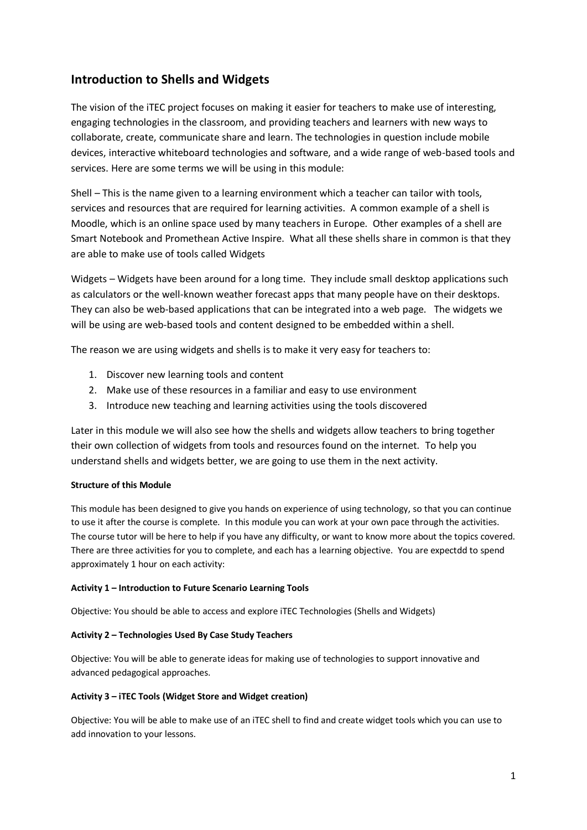# **Introduction to Shells and Widgets**

The vision of the iTEC project focuses on making it easier for teachers to make use of interesting, engaging technologies in the classroom, and providing teachers and learners with new ways to collaborate, create, communicate share and learn. The technologies in question include mobile devices, interactive whiteboard technologies and software, and a wide range of web-based tools and services. Here are some terms we will be using in this module:

Shell – This is the name given to a learning environment which a teacher can tailor with tools, services and resources that are required for learning activities. A common example of a shell is Moodle, which is an online space used by many teachers in Europe. Other examples of a shell are Smart Notebook and Promethean Active Inspire. What all these shells share in common is that they are able to make use of tools called Widgets

Widgets – Widgets have been around for a long time. They include small desktop applications such as calculators or the well-known weather forecast apps that many people have on their desktops. They can also be web-based applications that can be integrated into a web page. The widgets we will be using are web-based tools and content designed to be embedded within a shell.

The reason we are using widgets and shells is to make it very easy for teachers to:

- 1. Discover new learning tools and content
- 2. Make use of these resources in a familiar and easy to use environment
- 3. Introduce new teaching and learning activities using the tools discovered

Later in this module we will also see how the shells and widgets allow teachers to bring together their own collection of widgets from tools and resources found on the internet. To help you understand shells and widgets better, we are going to use them in the next activity.

#### **Structure of this Module**

This module has been designed to give you hands on experience of using technology, so that you can continue to use it after the course is complete. In this module you can work at your own pace through the activities. The course tutor will be here to help if you have any difficulty, or want to know more about the topics covered. There are three activities for you to complete, and each has a learning objective. You are expectdd to spend approximately 1 hour on each activity:

#### **Activity 1 – Introduction to Future Scenario Learning Tools**

Objective: You should be able to access and explore iTEC Technologies (Shells and Widgets)

#### **Activity 2 – Technologies Used By Case Study Teachers**

Objective: You will be able to generate ideas for making use of technologies to support innovative and advanced pedagogical approaches.

#### **Activity 3 – iTEC Tools (Widget Store and Widget creation)**

Objective: You will be able to make use of an iTEC shell to find and create widget tools which you can use to add innovation to your lessons.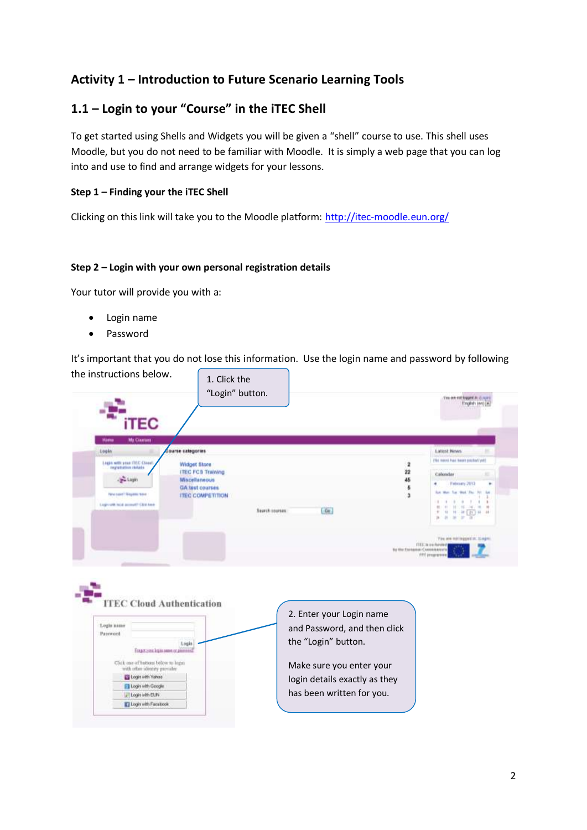# **Activity 1 – Introduction to Future Scenario Learning Tools**

# **1.1 – Login to your "Course" in the iTEC Shell**

To get started using Shells and Widgets you will be given a "shell" course to use. This shell uses Moodle, but you do not need to be familiar with Moodle. It is simply a web page that you can log into and use to find and arrange widgets for your lessons.

#### **Step 1 – Finding your the iTEC Shell**

Clicking on this link will take you to the Moodle platform:<http://itec-moodle.eun.org/>

#### **Step 2 – Login with your own personal registration details**

Your tutor will provide you with a:

- Login name
- Password

It's important that you do not lose this information. Use the login name and password by following the instructions below.  $\bigcap$ ∍

| <b>iTEC</b>                                                       |                                           |                      |                                                            |                               |                                                                                                                       |
|-------------------------------------------------------------------|-------------------------------------------|----------------------|------------------------------------------------------------|-------------------------------|-----------------------------------------------------------------------------------------------------------------------|
| <b>Mg Courses</b><br>Háme                                         |                                           |                      |                                                            |                               |                                                                                                                       |
| Lisgin                                                            | <b>Course categories</b>                  |                      |                                                            |                               | <b>Latest News</b><br>(fed ment) has been posted yet!                                                                 |
| Login with your (TEC-Close).<br><b>Importanties</b> restado       | <b>Widget Store</b>                       |                      |                                                            | $\overline{\mathbf{z}}$       |                                                                                                                       |
| <b>Bu Lagin</b>                                                   | <b>ITEC FCS Training</b><br>Miscellaneous |                      |                                                            | 22<br>45                      | Calondas<br>×                                                                                                         |
|                                                                   | GA fest courses                           |                      |                                                            | $\overline{\mathfrak{a}}$     | February 2013                                                                                                         |
| Fehr Least T Frequency trans                                      | <b>ITEC COMPETITION</b>                   |                      |                                                            | à                             | lan Man Tar Wed The Try Lat<br>٠                                                                                      |
| Logivalit told account City has                                   |                                           | <b>Search roomes</b> | Ga                                                         |                               | $\rightarrow$<br>$\frac{1}{2}$<br>$\frac{1}{2} \left( \frac{1}{2} \right) \left( \frac{1}{2} \right)$<br>■【計】# #<br>m |
|                                                                   |                                           |                      |                                                            |                               |                                                                                                                       |
|                                                                   |                                           |                      |                                                            | by the Exchange Customakers's | The lew not legged in: X ages<br>ITEE to be foreign<br>FITT programme                                                 |
| <b>ITEC Cloud Authentication</b>                                  |                                           |                      |                                                            |                               |                                                                                                                       |
|                                                                   |                                           |                      | 2. Enter your Login name                                   |                               |                                                                                                                       |
|                                                                   |                                           |                      | and Password, and then click                               |                               |                                                                                                                       |
| Forgot your legie name or pinning?                                | Logis                                     |                      | the "Login" button.                                        |                               |                                                                                                                       |
| Click one of hottom below to legal                                |                                           |                      |                                                            |                               |                                                                                                                       |
| with other identity provider<br>Login with Yahoo                  |                                           |                      | Make sure you enter your                                   |                               |                                                                                                                       |
| Logis name<br>Pateword<br>Ell Login with Geogle<br>Login with EUN |                                           |                      | login details exactly as they<br>has been written for you. |                               |                                                                                                                       |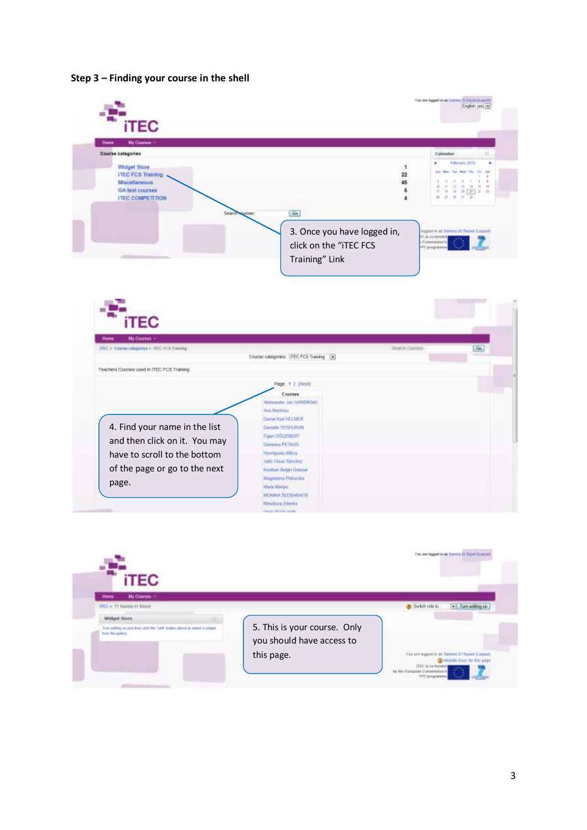#### **Step 3 – Finding your course in the shell**



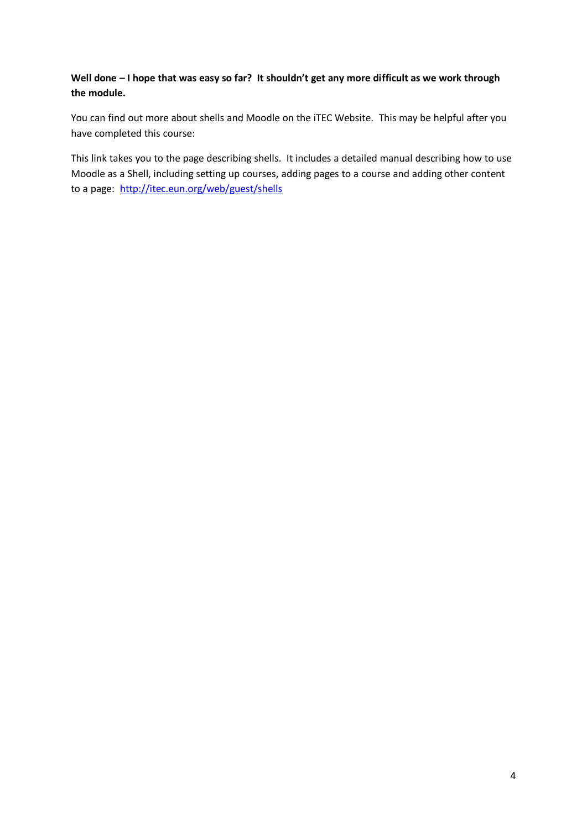## **Well done – I hope that was easy so far? It shouldn't get any more difficult as we work through the module.**

You can find out more about shells and Moodle on the iTEC Website. This may be helpful after you have completed this course:

This link takes you to the page describing shells. It includes a detailed manual describing how to use Moodle as a Shell, including setting up courses, adding pages to a course and adding other content to a page: <http://itec.eun.org/web/guest/shells>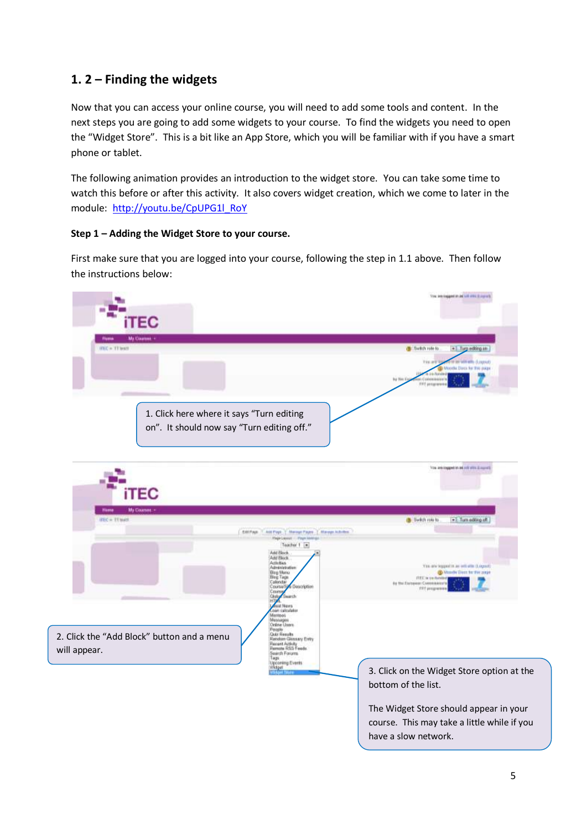# **1. 2 – Finding the widgets**

Now that you can access your online course, you will need to add some tools and content. In the next steps you are going to add some widgets to your course. To find the widgets you need to open the "Widget Store". This is a bit like an App Store, which you will be familiar with if you have a smart phone or tablet.

The following animation provides an introduction to the widget store. You can take some time to watch this before or after this activity. It also covers widget creation, which we come to later in the module: [http://youtu.be/CpUPG1l\\_RoY](http://youtu.be/CpUPG1l_RoY)

### **Step 1 – Adding the Widget Store to your course.**

First make sure that you are logged into your course, following the step in 1.1 above. Then follow the instructions below:

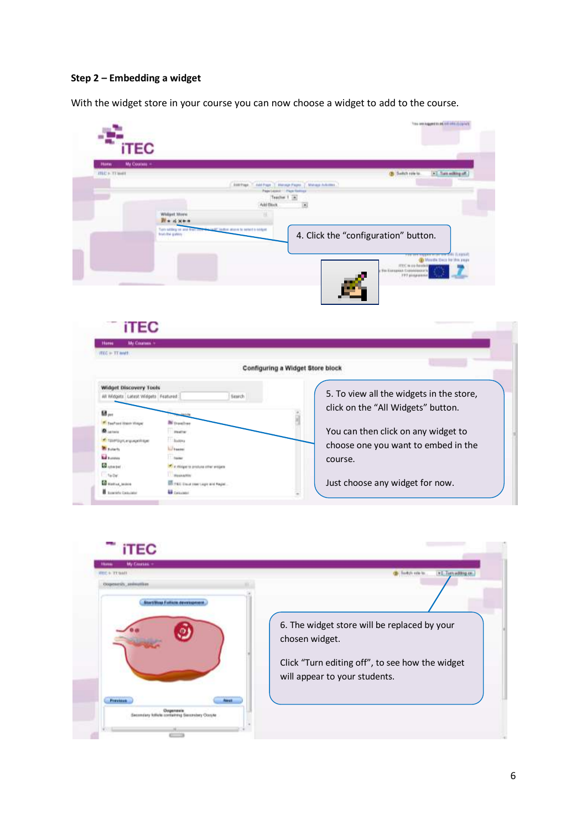#### **Step 2 – Embedding a widget**

With the widget store in your course you can now choose a widget to add to the course.



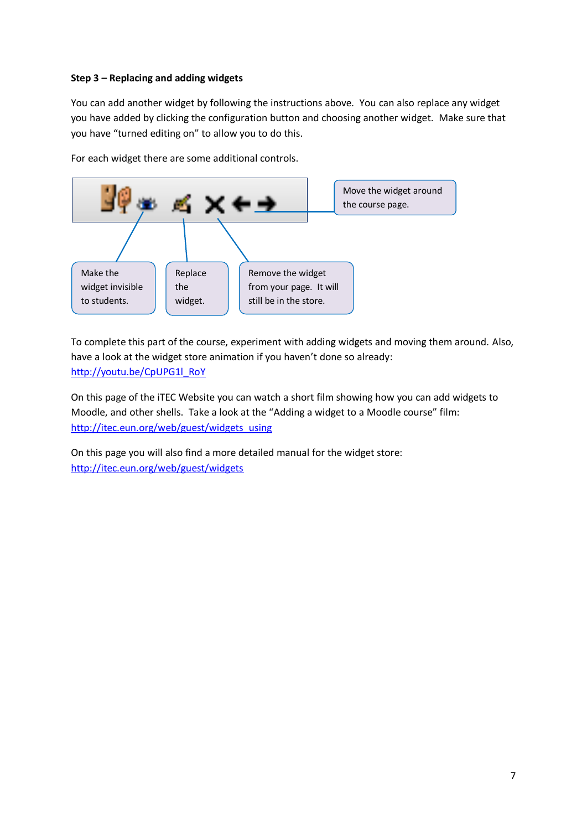### **Step 3 – Replacing and adding widgets**

You can add another widget by following the instructions above. You can also replace any widget you have added by clicking the configuration button and choosing another widget. Make sure that you have "turned editing on" to allow you to do this.

For each widget there are some additional controls.



To complete this part of the course, experiment with adding widgets and moving them around. Also, have a look at the widget store animation if you haven't done so already: [http://youtu.be/CpUPG1l\\_RoY](http://youtu.be/CpUPG1l_RoY)

On this page of the iTEC Website you can watch a short film showing how you can add widgets to Moodle, and other shells. Take a look at the "Adding a widget to a Moodle course" film: [http://itec.eun.org/web/guest/widgets\\_using](http://itec.eun.org/web/guest/widgets_using)

On this page you will also find a more detailed manual for the widget store: <http://itec.eun.org/web/guest/widgets>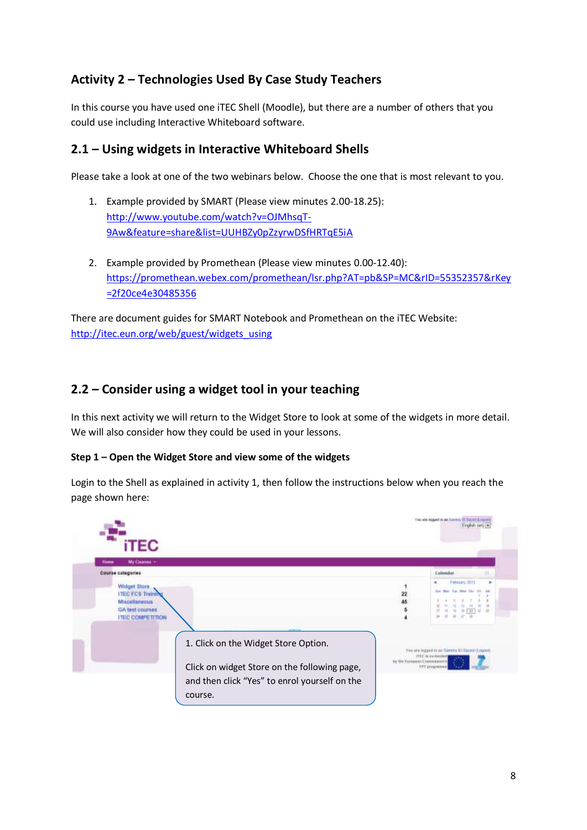# **Activity 2 – Technologies Used By Case Study Teachers**

In this course you have used one iTEC Shell (Moodle), but there are a number of others that you could use including Interactive Whiteboard software.

# **2.1 – Using widgets in Interactive Whiteboard Shells**

Please take a look at one of the two webinars below. Choose the one that is most relevant to you.

- 1. Example provided by SMART (Please view minutes 2.00-18.25): [http://www.youtube.com/watch?v=OJMhsqT-](http://www.youtube.com/watch?v=OJMhsqT-9Aw&feature=share&list=UUHBZy0pZzyrwDSfHRTqE5iA)[9Aw&feature=share&list=UUHBZy0pZzyrwDSfHRTqE5iA](http://www.youtube.com/watch?v=OJMhsqT-9Aw&feature=share&list=UUHBZy0pZzyrwDSfHRTqE5iA)
- 2. Example provided by Promethean (Please view minutes 0.00-12.40): [https://promethean.webex.com/promethean/lsr.php?AT=pb&SP=MC&rID=55352357&rKey](https://promethean.webex.com/promethean/lsr.php?AT=pb&SP=MC&rID=55352357&rKey=2f20ce4e30485356) [=2f20ce4e30485356](https://promethean.webex.com/promethean/lsr.php?AT=pb&SP=MC&rID=55352357&rKey=2f20ce4e30485356)

There are document guides for SMART Notebook and Promethean on the iTEC Website: [http://itec.eun.org/web/guest/widgets\\_using](http://itec.eun.org/web/guest/widgets_using)

# **2.2 – Consider using a widget tool in your teaching**

In this next activity we will return to the Widget Store to look at some of the widgets in more detail. We will also consider how they could be used in your lessons.

### **Step 1 – Open the Widget Store and view some of the widgets**

Login to the Shell as explained in activity 1, then follow the instructions below when you reach the page shown here:

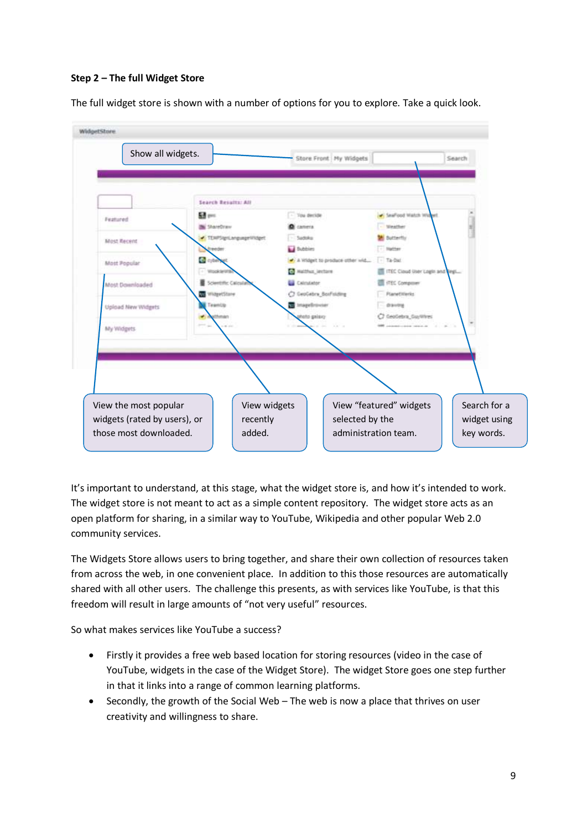### **Step 2 – The full Widget Store**

The full widget store is shown with a number of options for you to explore. Take a quick look.

| Show all widgets.            |                          |                             | Store Front   My Widgets       |                                 | Search       |
|------------------------------|--------------------------|-----------------------------|--------------------------------|---------------------------------|--------------|
|                              |                          |                             |                                |                                 |              |
|                              | Search Results: All      |                             |                                |                                 |              |
|                              | 53 pm                    | You decide                  |                                | <b>SeaFood Watch Wider</b>      |              |
| Featured                     | <b>Bill ShareDraw</b>    | <b>CROSSYS</b>              |                                | <b>Slienther</b>                |              |
| Most Recent                  | · TERPSignLanguageWidget | Saddiko                     |                                | Butterfly                       |              |
|                              | 1041/301                 | <b>La</b> Bubbies           |                                | 1. Mather                       |              |
| Most Popular                 | C cybe                   |                             | A Vridget to produce other wid | $-$ Ta-Dat                      |              |
|                              | Vitpolicle VITA          | <b>Co</b> Malthur, lexitore |                                | ITEC Cloud User Login and Vegi- |              |
| Most Downloaded              | Scientific Calcula       | <b>Calculator</b>           |                                | <b>ITEC Companier</b>           |              |
|                              | WidgetStare              | C GeoGebra BoxFstding       |                                | <b>Planetitieris</b>            |              |
| Upload New Widgets           | TeamOb                   | to imagedroviser            |                                | drawing                         |              |
|                              |                          | yasing otork                |                                | C GeoGebra GuyWines             |              |
| My Widgets                   |                          |                             |                                |                                 |              |
|                              |                          |                             |                                |                                 |              |
|                              |                          |                             |                                |                                 |              |
|                              |                          |                             |                                |                                 |              |
|                              |                          |                             |                                |                                 |              |
|                              |                          |                             |                                |                                 |              |
| View the most popular        | View widgets             |                             |                                | View "featured" widgets         | Search for a |
| widgets (rated by users), or | recently                 |                             | selected by the                |                                 | widget using |
|                              |                          |                             |                                |                                 |              |

It's important to understand, at this stage, what the widget store is, and how it's intended to work. The widget store is not meant to act as a simple content repository. The widget store acts as an open platform for sharing, in a similar way to YouTube, Wikipedia and other popular Web 2.0 community services.

The Widgets Store allows users to bring together, and share their own collection of resources taken from across the web, in one convenient place. In addition to this those resources are automatically shared with all other users. The challenge this presents, as with services like YouTube, is that this freedom will result in large amounts of "not very useful" resources.

So what makes services like YouTube a success?

- Firstly it provides a free web based location for storing resources (video in the case of YouTube, widgets in the case of the Widget Store). The widget Store goes one step further in that it links into a range of common learning platforms.
- Secondly, the growth of the Social Web The web is now a place that thrives on user creativity and willingness to share.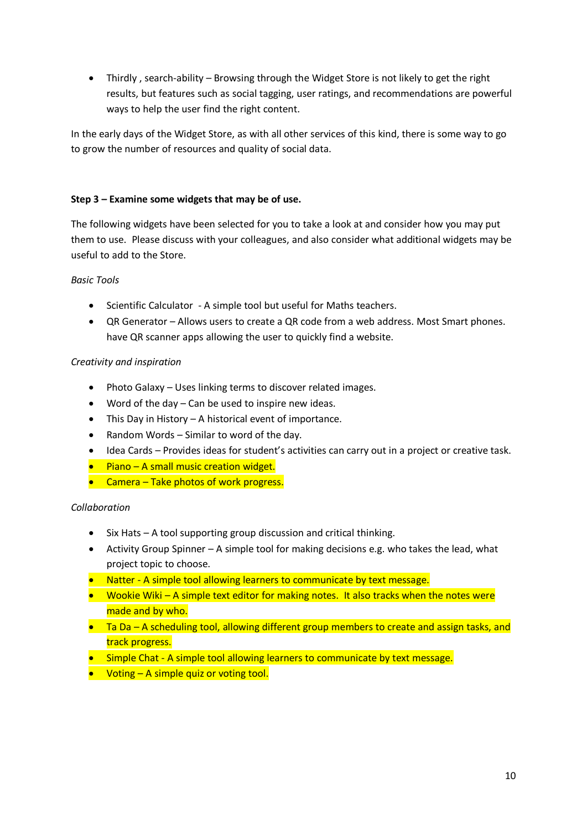Thirdly , search-ability – Browsing through the Widget Store is not likely to get the right results, but features such as social tagging, user ratings, and recommendations are powerful ways to help the user find the right content.

In the early days of the Widget Store, as with all other services of this kind, there is some way to go to grow the number of resources and quality of social data.

### **Step 3 – Examine some widgets that may be of use.**

The following widgets have been selected for you to take a look at and consider how you may put them to use. Please discuss with your colleagues, and also consider what additional widgets may be useful to add to the Store.

### *Basic Tools*

- Scientific Calculator A simple tool but useful for Maths teachers.
- QR Generator Allows users to create a QR code from a web address. Most Smart phones. have QR scanner apps allowing the user to quickly find a website.

### *Creativity and inspiration*

- Photo Galaxy Uses linking terms to discover related images.
- Word of the day Can be used to inspire new ideas.
- This Day in History A historical event of importance.
- Random Words Similar to word of the day.
- Idea Cards Provides ideas for student's activities can carry out in a project or creative task.
- $\bullet$  Piano A small music creation widget.
- **•** Camera Take photos of work progress.

### *Collaboration*

- $\bullet$  Six Hats A tool supporting group discussion and critical thinking.
- Activity Group Spinner A simple tool for making decisions e.g. who takes the lead, what project topic to choose.
- Natter A simple tool allowing learners to communicate by text message.
- Wookie Wiki A simple text editor for making notes. It also tracks when the notes were made and by who.
- Ta Da A scheduling tool, allowing different group members to create and assign tasks, and track progress.
- Simple Chat A simple tool allowing learners to communicate by text message.
- $\bullet$  Voting A simple quiz or voting tool.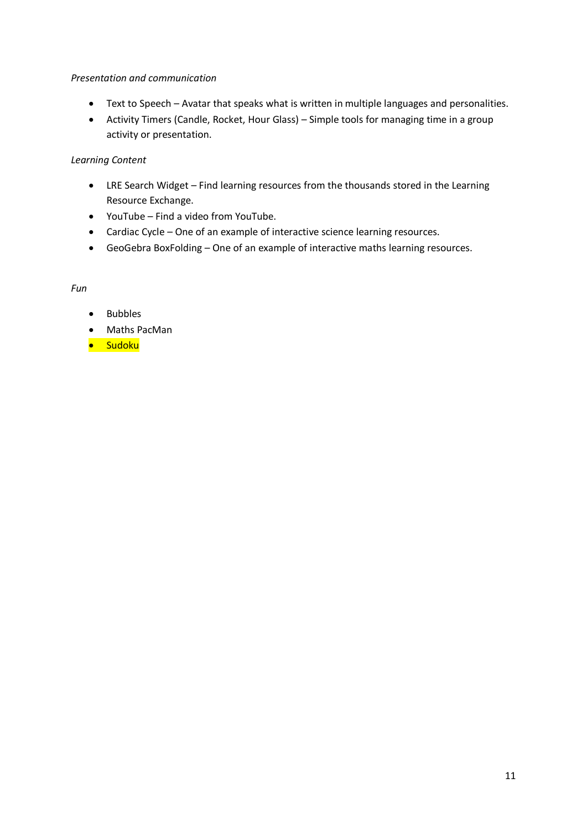#### *Presentation and communication*

- Text to Speech Avatar that speaks what is written in multiple languages and personalities.
- Activity Timers (Candle, Rocket, Hour Glass) Simple tools for managing time in a group activity or presentation.

#### *Learning Content*

- LRE Search Widget Find learning resources from the thousands stored in the Learning Resource Exchange.
- YouTube Find a video from YouTube.
- Cardiac Cycle One of an example of interactive science learning resources.
- GeoGebra BoxFolding One of an example of interactive maths learning resources.

#### *Fun*

- Bubbles
- Maths PacMan
- Sudoku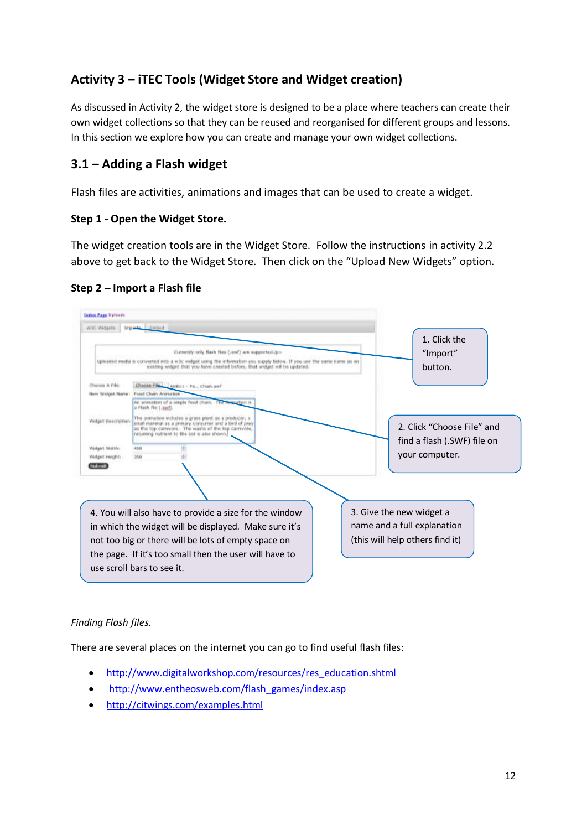# **Activity 3 – iTEC Tools (Widget Store and Widget creation)**

As discussed in Activity 2, the widget store is designed to be a place where teachers can create their own widget collections so that they can be reused and reorganised for different groups and lessons. In this section we explore how you can create and manage your own widget collections.

# **3.1 – Adding a Flash widget**

Flash files are activities, animations and images that can be used to create a widget.

### **Step 1 - Open the Widget Store.**

The widget creation tools are in the Widget Store. Follow the instructions in activity 2.2 above to get back to the Widget Store. Then click on the "Upload New Widgets" option.

### **Step 2 – Import a Flash file**



### *Finding Flash files.*

There are several places on the internet you can go to find useful flash files:

- [http://www.digitalworkshop.com/resources/res\\_education.shtml](http://www.digitalworkshop.com/resources/res_education.shtml)
- [http://www.entheosweb.com/flash\\_games/index.asp](http://www.entheosweb.com/flash_games/index.asp)
- <http://citwings.com/examples.html>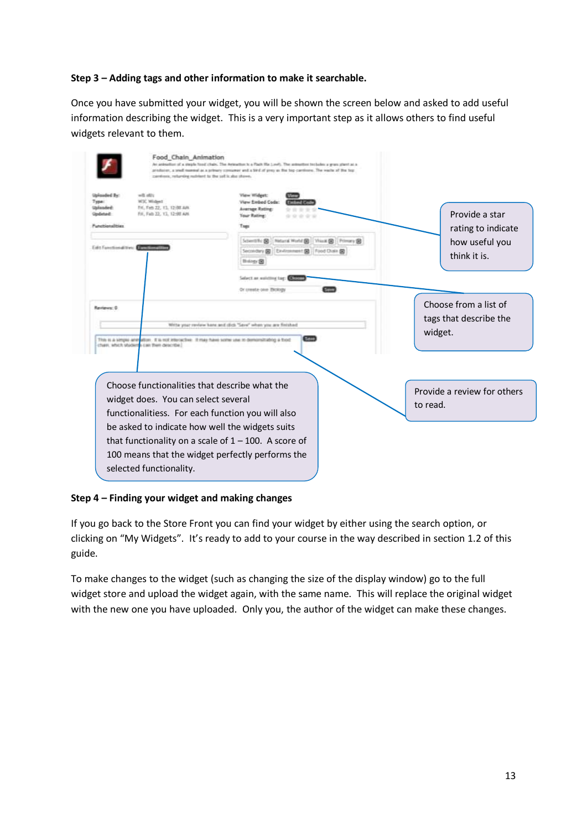### **Step 3 – Adding tags and other information to make it searchable.**

Once you have submitted your widget, you will be shown the screen below and asked to add useful information describing the widget. This is a very important step as it allows others to find useful widgets relevant to them.

|                                                                                                              | Food Chain Animation<br>carrémos, returning restrient to the self is also shares.                                                                                                            | An animation of a steple food chain. The Animation to a Plack file LowTi. The animation includes a gran stand as a<br>producer, a small manned as a primary consumer and a 59 d of gress as the fog-cardinate. The washe of the feg- |                                                                        |
|--------------------------------------------------------------------------------------------------------------|----------------------------------------------------------------------------------------------------------------------------------------------------------------------------------------------|--------------------------------------------------------------------------------------------------------------------------------------------------------------------------------------------------------------------------------------|------------------------------------------------------------------------|
| Upforded By:<br>Type:<br>Uskoudert:<br><b>Dedata-E</b><br>Functionalities<br>Edit Fanctional time: Editorial | with all is<br>W3C Midpell<br>TH, Teh 22, 13, 12:38 AR<br>Fri, Feb 22, 13, 12:98 AM                                                                                                          | View Widest:<br>View Einbed Code:<br>Average Rating:<br>Your Rating:<br>Tags<br>Nidson World (B) Visual (B) Primary (B)<br>Scientific (R)<br>Secondary BB   Exvironment BB   Food Dusin BB<br>Hidagy (B)<br>Salact an waiviting tag: | Provide a star<br>rating to indicate<br>how useful you<br>think it is. |
| Reviews: 0                                                                                                   | This is a vimple animation. It is not interactive. It may have some use to demonstrategy a tood<br>charr, which students can then describe.                                                  | Or create one Bickegy<br>Write your review here and click "Sere" when you are finished                                                                                                                                               | Choose from a list of<br>tags that describe the<br>widget.             |
|                                                                                                              | Choose functionalities that describe what the<br>widget does. You can select several<br>functionalitiess. For each function you will also<br>be asked to indicate how well the widgets suits |                                                                                                                                                                                                                                      | Provide a review for others<br>to read.                                |
|                                                                                                              | selected functionality.                                                                                                                                                                      | that functionality on a scale of $1 - 100$ . A score of<br>100 means that the widget perfectly performs the                                                                                                                          |                                                                        |

#### **Step 4 – Finding your widget and making changes**

If you go back to the Store Front you can find your widget by either using the search option, or clicking on "My Widgets". It's ready to add to your course in the way described in section 1.2 of this guide.

To make changes to the widget (such as changing the size of the display window) go to the full widget store and upload the widget again, with the same name. This will replace the original widget with the new one you have uploaded. Only you, the author of the widget can make these changes.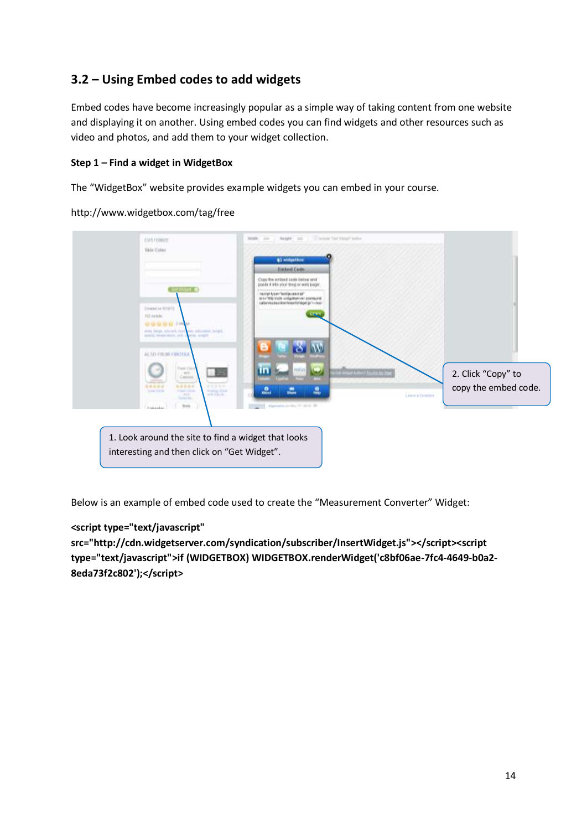# **3.2 – Using Embed codes to add widgets**

Embed codes have become increasingly popular as a simple way of taking content from one website and displaying it on another. Using embed codes you can find widgets and other resources such as video and photos, and add them to your widget collection.

### **Step 1 – Find a widget in WidgetBox**

The "WidgetBox" website provides example widgets you can embed in your course.

http://www.widgetbox.com/tag/free



Below is an example of embed code used to create the "Measurement Converter" Widget:

### **<script type="text/javascript"**

**src="http://cdn.widgetserver.com/syndication/subscriber/InsertWidget.js"></script><script type="text/javascript">if (WIDGETBOX) WIDGETBOX.renderWidget('c8bf06ae-7fc4-4649-b0a2- 8eda73f2c802');</script>**